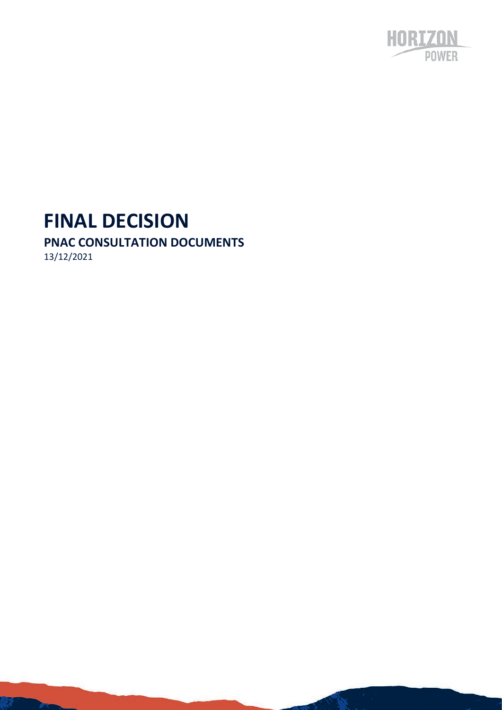

# **FINAL DECISION**

# **PNAC CONSULTATION DOCUMENTS**

13/12/2021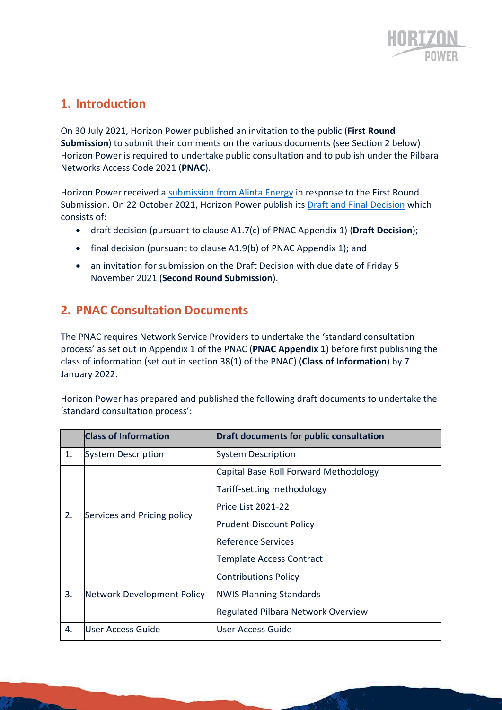

# **1. Introduction**

On 30 July 2021, Horizon Power published an invitation to the public (**First Round Submission**) to submit their comments on the various documents (see Section 2 below) Horizon Power is required to undertake public consultation and to publish under the Pilbara Networks Access Code 2021 (**PNAC**).

Horizon Power received a [submission from Alinta Energy](https://nwis.com.au/media/2rkllnrw/alinta-approved-publication-version-alinta-energy-submission-on-horizon-power-s-pnac-consultation-documents.pdf) in response to the First Round Submission. On 22 October 2021, Horizon Power publish its [Draft and Final Decision](https://nwis.com.au/media/dbung1bi/draft-and-final-decision-pnac-consultation-documents.pdf) which consists of:

- draft decision (pursuant to clause A1.7(c) of PNAC Appendix 1) (**Draft Decision**);
- final decision (pursuant to clause A1.9(b) of PNAC Appendix 1); and
- an invitation for submission on the Draft Decision with due date of Friday 5 November 2021 (**Second Round Submission**).

#### **2. PNAC Consultation Documents**

The PNAC requires Network Service Providers to undertake the 'standard consultation process' as set out in Appendix 1 of the PNAC (**PNAC Appendix 1**) before first publishing the class of information (set out in section 38(1) of the PNAC) (**Class of Information**) by 7 January 2022.

Horizon Power has prepared and published the following [draft documents](https://nwis.com.au/access/) to undertake the 'standard consultation process':

|    | <b>Class of Information</b> | <b>Draft documents for public consultation</b> |
|----|-----------------------------|------------------------------------------------|
| 1. | System Description          | System Description                             |
| 2. |                             | Capital Base Roll Forward Methodology          |
|    |                             | Tariff-setting methodology                     |
|    | Services and Pricing policy | Price List 2021-22                             |
|    |                             | <b>Prudent Discount Policy</b>                 |
|    |                             | <b>Reference Services</b>                      |
|    |                             | <b>Template Access Contract</b>                |
|    |                             | <b>Contributions Policy</b>                    |
| 3. | Network Development Policy  | <b>NWIS Planning Standards</b>                 |
|    |                             | <b>Regulated Pilbara Network Overview</b>      |
| 4. | <b>User Access Guide</b>    | lUser Access Guide                             |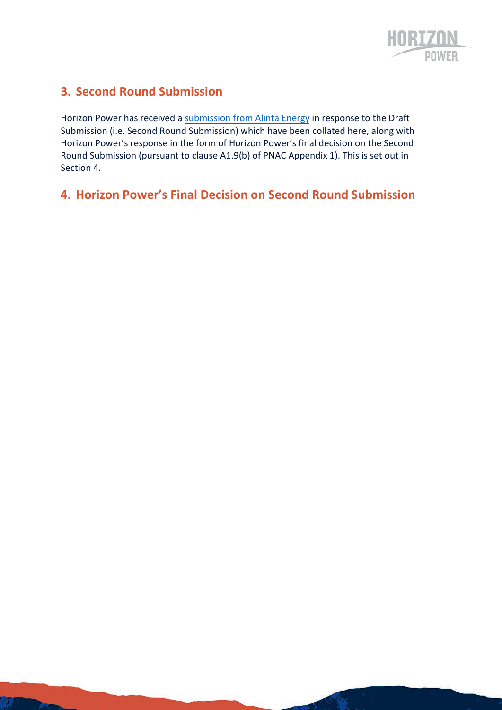

# **3. Second Round Submission**

Horizon Power has received a [submission from Alinta Energy](https://nwis.com.au/access/) in response to the Draft Submission (i.e. Second Round Submission) which have been collated here, along with Horizon Power's response in the form of Horizon Power's final decision on the Second Round Submission (pursuant to clause A1.9(b) of PNAC Appendix 1). This is set out in Section 4.

# **4. Horizon Power's Final Decision on Second Round Submission**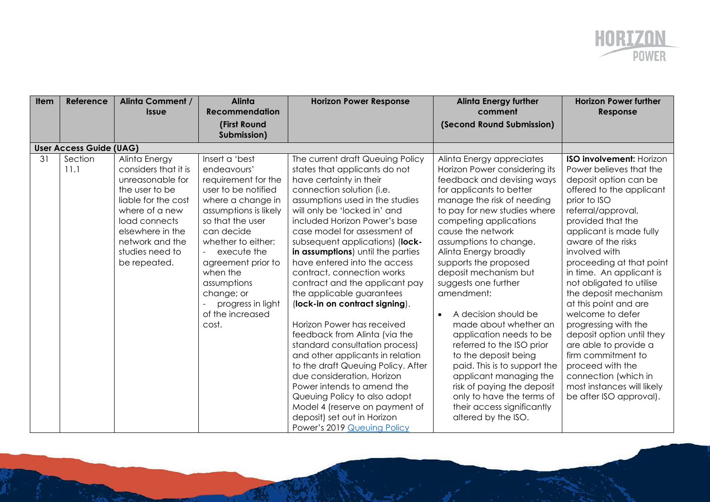

| <b>Item</b> | Reference                      | <b>Alinta Comment /</b><br><b>Issue</b>                                                                                                                                                                         | <b>Alinta</b><br>Recommendation                                                                                                                                                                                                                                                                                   | <b>Horizon Power Response</b>                                                                                                                                                                                                                                                                                                                                                                                                                                                                                                                                                                                                                                                                                                                                                                                                                                               | <b>Alinta Energy further</b><br>comment                                                                                                                                                                                                                                                                                                                                                                                                                                                                                                                                                                                                                                                 | <b>Horizon Power further</b><br>Response                                                                                                                                                                                                                                                                                                                                                                                                                                                                                                                                                                        |
|-------------|--------------------------------|-----------------------------------------------------------------------------------------------------------------------------------------------------------------------------------------------------------------|-------------------------------------------------------------------------------------------------------------------------------------------------------------------------------------------------------------------------------------------------------------------------------------------------------------------|-----------------------------------------------------------------------------------------------------------------------------------------------------------------------------------------------------------------------------------------------------------------------------------------------------------------------------------------------------------------------------------------------------------------------------------------------------------------------------------------------------------------------------------------------------------------------------------------------------------------------------------------------------------------------------------------------------------------------------------------------------------------------------------------------------------------------------------------------------------------------------|-----------------------------------------------------------------------------------------------------------------------------------------------------------------------------------------------------------------------------------------------------------------------------------------------------------------------------------------------------------------------------------------------------------------------------------------------------------------------------------------------------------------------------------------------------------------------------------------------------------------------------------------------------------------------------------------|-----------------------------------------------------------------------------------------------------------------------------------------------------------------------------------------------------------------------------------------------------------------------------------------------------------------------------------------------------------------------------------------------------------------------------------------------------------------------------------------------------------------------------------------------------------------------------------------------------------------|
|             |                                |                                                                                                                                                                                                                 | (First Round<br>Submission)                                                                                                                                                                                                                                                                                       |                                                                                                                                                                                                                                                                                                                                                                                                                                                                                                                                                                                                                                                                                                                                                                                                                                                                             | (Second Round Submission)                                                                                                                                                                                                                                                                                                                                                                                                                                                                                                                                                                                                                                                               |                                                                                                                                                                                                                                                                                                                                                                                                                                                                                                                                                                                                                 |
|             | <b>User Access Guide (UAG)</b> |                                                                                                                                                                                                                 |                                                                                                                                                                                                                                                                                                                   |                                                                                                                                                                                                                                                                                                                                                                                                                                                                                                                                                                                                                                                                                                                                                                                                                                                                             |                                                                                                                                                                                                                                                                                                                                                                                                                                                                                                                                                                                                                                                                                         |                                                                                                                                                                                                                                                                                                                                                                                                                                                                                                                                                                                                                 |
| 31          | Section<br>11.1                | Alinta Energy<br>considers that it is<br>unreasonable for<br>the user to be<br>liable for the cost<br>where of a new<br>load connects<br>elsewhere in the<br>network and the<br>studies need to<br>be repeated. | Insert a 'best<br>endeavours'<br>requirement for the<br>user to be notified<br>where a change in<br>assumptions is likely<br>so that the user<br>can decide<br>whether to either:<br>execute the<br>agreement prior to<br>when the<br>assumptions<br>change; or<br>progress in light<br>of the increased<br>cost. | The current draft Queuing Policy<br>states that applicants do not<br>have certainty in their<br>connection solution (i.e.<br>assumptions used in the studies<br>will only be 'locked in' and<br>included Horizon Power's base<br>case model for assessment of<br>subsequent applications) (lock-<br>in assumptions) until the parties<br>have entered into the access<br>contract, connection works<br>contract and the applicant pay<br>the applicable guarantees<br>(lock-in on contract signing).<br>Horizon Power has received<br>feedback from Alinta (via the<br>standard consultation process)<br>and other applicants in relation<br>to the draft Queuing Policy. After<br>due consideration, Horizon<br>Power intends to amend the<br>Queuing Policy to also adopt<br>Model 4 (reserve on payment of<br>deposit) set out in Horizon<br>Power's 2019 Queuing Policy | Alinta Energy appreciates<br>Horizon Power considering its<br>feedback and devising ways<br>for applicants to better<br>manage the risk of needing<br>to pay for new studies where<br>competing applications<br>cause the network<br>assumptions to change.<br>Alinta Energy broadly<br>supports the proposed<br>deposit mechanism but<br>suggests one further<br>amendment:<br>A decision should be<br>made about whether an<br>application needs to be<br>referred to the ISO prior<br>to the deposit being<br>paid. This is to support the<br>applicant managing the<br>risk of paying the deposit<br>only to have the terms of<br>their access significantly<br>altered by the ISO. | <b>ISO involvement: Horizon</b><br>Power believes that the<br>deposit option can be<br>offered to the applicant<br>prior to ISO<br>referral/approval,<br>provided that the<br>applicant is made fully<br>aware of the risks<br>involved with<br>proceeding at that point<br>in time. An applicant is<br>not obligated to utilise<br>the deposit mechanism<br>at this point and are<br>welcome to defer<br>progressing with the<br>deposit option until they<br>are able to provide a<br>firm commitment to<br>proceed with the<br>connection (which in<br>most instances will likely<br>be after ISO approval). |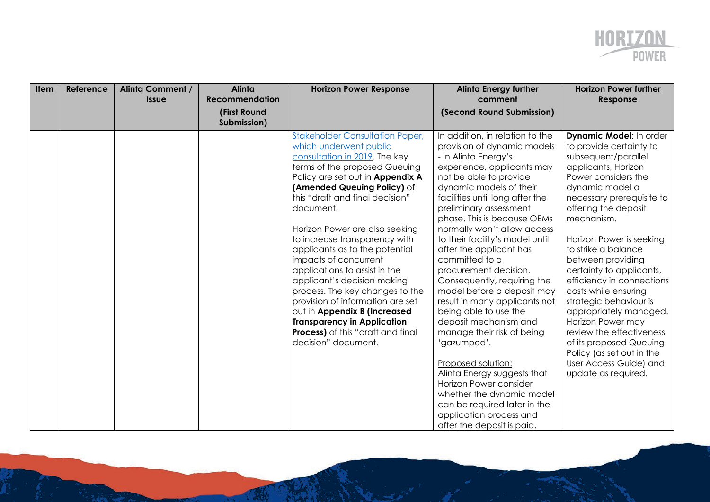

| <b>Item</b> | Reference | <b>Alinta Comment /</b><br><b>Issue</b> | <b>Alinta</b><br><b>Recommendation</b> | <b>Horizon Power Response</b>                                   | <b>Alinta Energy further</b><br>comment                        | <b>Horizon Power further</b><br>Response |
|-------------|-----------|-----------------------------------------|----------------------------------------|-----------------------------------------------------------------|----------------------------------------------------------------|------------------------------------------|
|             |           |                                         | (First Round                           |                                                                 | (Second Round Submission)                                      |                                          |
|             |           |                                         | Submission)                            |                                                                 |                                                                |                                          |
|             |           |                                         |                                        | <b>Stakeholder Consultation Paper,</b>                          | In addition, in relation to the                                | Dynamic Model: In order                  |
|             |           |                                         |                                        | which underwent public                                          | provision of dynamic models                                    | to provide certainty to                  |
|             |           |                                         |                                        | consultation in 2019. The key                                   | - In Alinta Energy's                                           | subsequent/parallel                      |
|             |           |                                         |                                        | terms of the proposed Queuing                                   | experience, applicants may                                     | applicants, Horizon                      |
|             |           |                                         |                                        | Policy are set out in Appendix A                                | not be able to provide                                         | Power considers the                      |
|             |           |                                         |                                        | (Amended Queuing Policy) of                                     | dynamic models of their                                        | dynamic model a                          |
|             |           |                                         |                                        | this "draft and final decision"                                 | facilities until long after the                                | necessary prerequisite to                |
|             |           |                                         |                                        | document.                                                       | preliminary assessment                                         | offering the deposit                     |
|             |           |                                         |                                        |                                                                 | phase. This is because OEMs                                    | mechanism.                               |
|             |           |                                         |                                        | Horizon Power are also seeking<br>to increase transparency with | normally won't allow access<br>to their facility's model until | Horizon Power is seeking                 |
|             |           |                                         |                                        | applicants as to the potential                                  | after the applicant has                                        | to strike a balance                      |
|             |           |                                         |                                        | impacts of concurrent                                           | committed to a                                                 | between providing                        |
|             |           |                                         |                                        | applications to assist in the                                   | procurement decision.                                          | certainty to applicants,                 |
|             |           |                                         |                                        | applicant's decision making                                     | Consequently, requiring the                                    | efficiency in connections                |
|             |           |                                         |                                        | process. The key changes to the                                 | model before a deposit may                                     | costs while ensuring                     |
|             |           |                                         |                                        | provision of information are set                                | result in many applicants not                                  | strategic behaviour is                   |
|             |           |                                         |                                        | out in Appendix B (Increased                                    | being able to use the                                          | appropriately managed.                   |
|             |           |                                         |                                        | <b>Transparency in Application</b>                              | deposit mechanism and                                          | Horizon Power may                        |
|             |           |                                         |                                        | <b>Process)</b> of this "draft and final                        | manage their risk of being                                     | review the effectiveness                 |
|             |           |                                         |                                        | decision" document.                                             | 'gazumped'.                                                    | of its proposed Queuing                  |
|             |           |                                         |                                        |                                                                 |                                                                | Policy (as set out in the                |
|             |           |                                         |                                        |                                                                 | Proposed solution:                                             | User Access Guide) and                   |
|             |           |                                         |                                        |                                                                 | Alinta Energy suggests that                                    | update as required.                      |
|             |           |                                         |                                        |                                                                 | Horizon Power consider                                         |                                          |
|             |           |                                         |                                        |                                                                 | whether the dynamic model                                      |                                          |
|             |           |                                         |                                        |                                                                 | can be required later in the                                   |                                          |
|             |           |                                         |                                        |                                                                 | application process and                                        |                                          |
|             |           |                                         |                                        |                                                                 | after the deposit is paid.                                     |                                          |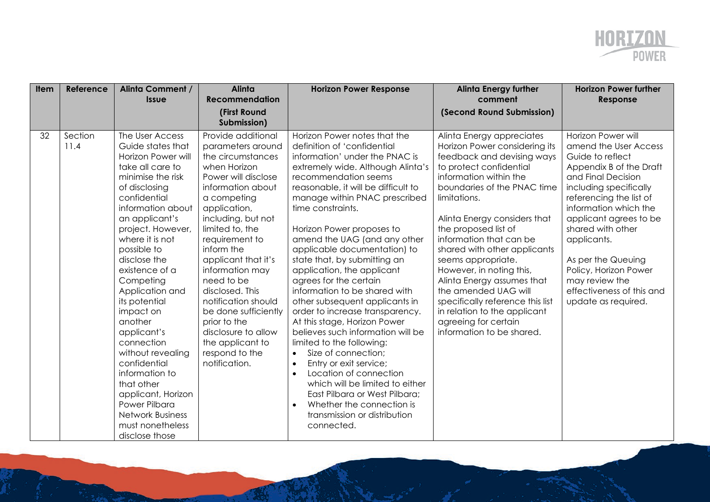

| <b>Item</b> | Reference       | <b>Alinta Comment /</b><br><b>Issue</b>                                                                                                                                                                                                                                                                                                                                                                                                                                                                                                                 | Alinta<br><b>Recommendation</b>                                                                                                                                                                                                                                                                                                                                                                                                                          | <b>Horizon Power Response</b>                                                                                                                                                                                                                                                                                                                                                                                                                                                                                                                                                                                                                                                                                                                                                                                                                                                                                                      | <b>Alinta Energy further</b><br>comment                                                                                                                                                                                                                                                                                                                                                                                                                                                                                                          | <b>Horizon Power further</b><br>Response                                                                                                                                                                                                                                                                                                                                          |
|-------------|-----------------|---------------------------------------------------------------------------------------------------------------------------------------------------------------------------------------------------------------------------------------------------------------------------------------------------------------------------------------------------------------------------------------------------------------------------------------------------------------------------------------------------------------------------------------------------------|----------------------------------------------------------------------------------------------------------------------------------------------------------------------------------------------------------------------------------------------------------------------------------------------------------------------------------------------------------------------------------------------------------------------------------------------------------|------------------------------------------------------------------------------------------------------------------------------------------------------------------------------------------------------------------------------------------------------------------------------------------------------------------------------------------------------------------------------------------------------------------------------------------------------------------------------------------------------------------------------------------------------------------------------------------------------------------------------------------------------------------------------------------------------------------------------------------------------------------------------------------------------------------------------------------------------------------------------------------------------------------------------------|--------------------------------------------------------------------------------------------------------------------------------------------------------------------------------------------------------------------------------------------------------------------------------------------------------------------------------------------------------------------------------------------------------------------------------------------------------------------------------------------------------------------------------------------------|-----------------------------------------------------------------------------------------------------------------------------------------------------------------------------------------------------------------------------------------------------------------------------------------------------------------------------------------------------------------------------------|
|             |                 |                                                                                                                                                                                                                                                                                                                                                                                                                                                                                                                                                         | (First Round<br>Submission)                                                                                                                                                                                                                                                                                                                                                                                                                              |                                                                                                                                                                                                                                                                                                                                                                                                                                                                                                                                                                                                                                                                                                                                                                                                                                                                                                                                    | (Second Round Submission)                                                                                                                                                                                                                                                                                                                                                                                                                                                                                                                        |                                                                                                                                                                                                                                                                                                                                                                                   |
| 32          | Section<br>11.4 | The User Access<br>Guide states that<br>Horizon Power will<br>take all care to<br>minimise the risk<br>of disclosing<br>confidential<br>information about<br>an applicant's<br>project. However,<br>where it is not<br>possible to<br>disclose the<br>existence of a<br>Competing<br>Application and<br>its potential<br>impact on<br>another<br>applicant's<br>connection<br>without revealing<br>confidential<br>information to<br>that other<br>applicant, Horizon<br>Power Pilbara<br><b>Network Business</b><br>must nonetheless<br>disclose those | Provide additional<br>parameters around<br>the circumstances<br>when Horizon<br>Power will disclose<br>information about<br>a competing<br>application,<br>including, but not<br>limited to, the<br>requirement to<br>inform the<br>applicant that it's<br>information may<br>need to be<br>disclosed. This<br>notification should<br>be done sufficiently<br>prior to the<br>disclosure to allow<br>the applicant to<br>respond to the<br>notification. | Horizon Power notes that the<br>definition of 'confidential<br>information' under the PNAC is<br>extremely wide. Although Alinta's<br>recommendation seems<br>reasonable, it will be difficult to<br>manage within PNAC prescribed<br>time constraints.<br>Horizon Power proposes to<br>amend the UAG (and any other<br>applicable documentation) to<br>state that, by submitting an<br>application, the applicant<br>agrees for the certain<br>information to be shared with<br>other subsequent applicants in<br>order to increase transparency.<br>At this stage, Horizon Power<br>believes such information will be<br>limited to the following:<br>Size of connection;<br>$\bullet$<br>Entry or exit service;<br>$\bullet$<br>Location of connection<br>$\bullet$<br>which will be limited to either<br>East Pilbara or West Pilbara;<br>Whether the connection is<br>$\bullet$<br>transmission or distribution<br>connected. | Alinta Energy appreciates<br>Horizon Power considering its<br>feedback and devising ways<br>to protect confidential<br>information within the<br>boundaries of the PNAC time<br>limitations.<br>Alinta Energy considers that<br>the proposed list of<br>information that can be<br>shared with other applicants<br>seems appropriate.<br>However, in noting this,<br>Alinta Energy assumes that<br>the amended UAG will<br>specifically reference this list<br>in relation to the applicant<br>agreeing for certain<br>information to be shared. | Horizon Power will<br>amend the User Access<br>Guide to reflect<br>Appendix B of the Draft<br>and Final Decision<br>including specifically<br>referencing the list of<br>information which the<br>applicant agrees to be<br>shared with other<br>applicants.<br>As per the Queuing<br>Policy, Horizon Power<br>may review the<br>effectiveness of this and<br>update as required. |